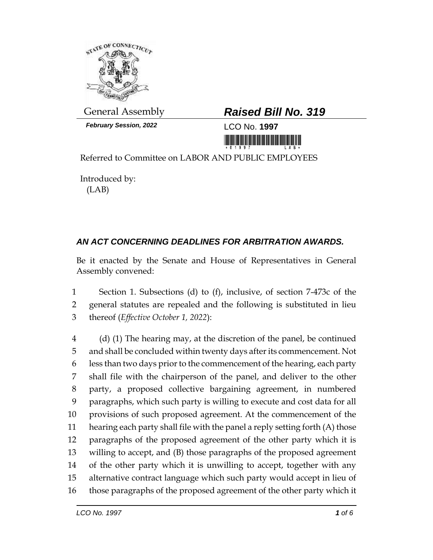

*February Session, 2022* LCO No. **1997**

## General Assembly *Raised Bill No. 319*

<u> III dhihidi ka maalaa ka maalaa ka maalaa ka maalaa ka maalaa ka maalaa ka maalaa ka maalaa ka maalaa ka maa</u>

Referred to Committee on LABOR AND PUBLIC EMPLOYEES

Introduced by: (LAB)

## *AN ACT CONCERNING DEADLINES FOR ARBITRATION AWARDS.*

Be it enacted by the Senate and House of Representatives in General Assembly convened:

 Section 1. Subsections (d) to (f), inclusive, of section 7-473c of the general statutes are repealed and the following is substituted in lieu thereof (*Effective October 1, 2022*):

 (d) (1) The hearing may, at the discretion of the panel, be continued and shall be concluded within twenty days after its commencement. Not less than two days prior to the commencement of the hearing, each party shall file with the chairperson of the panel, and deliver to the other party, a proposed collective bargaining agreement, in numbered paragraphs, which such party is willing to execute and cost data for all provisions of such proposed agreement. At the commencement of the hearing each party shall file with the panel a reply setting forth (A) those paragraphs of the proposed agreement of the other party which it is willing to accept, and (B) those paragraphs of the proposed agreement of the other party which it is unwilling to accept, together with any alternative contract language which such party would accept in lieu of those paragraphs of the proposed agreement of the other party which it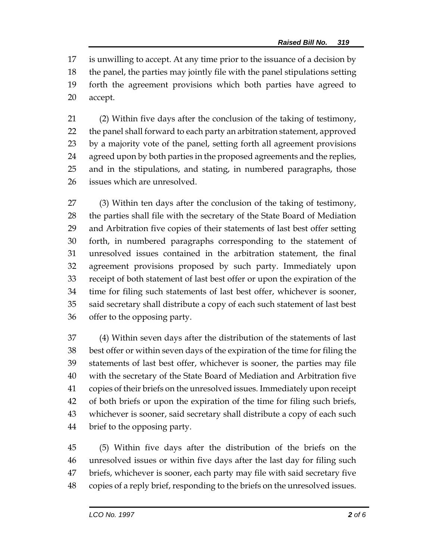is unwilling to accept. At any time prior to the issuance of a decision by the panel, the parties may jointly file with the panel stipulations setting forth the agreement provisions which both parties have agreed to accept.

 (2) Within five days after the conclusion of the taking of testimony, the panel shall forward to each party an arbitration statement, approved by a majority vote of the panel, setting forth all agreement provisions agreed upon by both parties in the proposed agreements and the replies, and in the stipulations, and stating, in numbered paragraphs, those issues which are unresolved.

 (3) Within ten days after the conclusion of the taking of testimony, the parties shall file with the secretary of the State Board of Mediation and Arbitration five copies of their statements of last best offer setting forth, in numbered paragraphs corresponding to the statement of unresolved issues contained in the arbitration statement, the final agreement provisions proposed by such party. Immediately upon receipt of both statement of last best offer or upon the expiration of the time for filing such statements of last best offer, whichever is sooner, said secretary shall distribute a copy of each such statement of last best offer to the opposing party.

 (4) Within seven days after the distribution of the statements of last best offer or within seven days of the expiration of the time for filing the statements of last best offer, whichever is sooner, the parties may file with the secretary of the State Board of Mediation and Arbitration five copies of their briefs on the unresolved issues. Immediately upon receipt of both briefs or upon the expiration of the time for filing such briefs, whichever is sooner, said secretary shall distribute a copy of each such brief to the opposing party.

 (5) Within five days after the distribution of the briefs on the unresolved issues or within five days after the last day for filing such briefs, whichever is sooner, each party may file with said secretary five copies of a reply brief, responding to the briefs on the unresolved issues.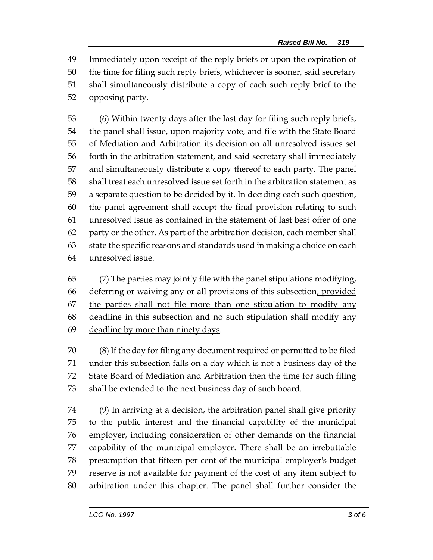Immediately upon receipt of the reply briefs or upon the expiration of the time for filing such reply briefs, whichever is sooner, said secretary shall simultaneously distribute a copy of each such reply brief to the opposing party.

 (6) Within twenty days after the last day for filing such reply briefs, the panel shall issue, upon majority vote, and file with the State Board of Mediation and Arbitration its decision on all unresolved issues set forth in the arbitration statement, and said secretary shall immediately and simultaneously distribute a copy thereof to each party. The panel shall treat each unresolved issue set forth in the arbitration statement as a separate question to be decided by it. In deciding each such question, the panel agreement shall accept the final provision relating to such unresolved issue as contained in the statement of last best offer of one party or the other. As part of the arbitration decision, each member shall state the specific reasons and standards used in making a choice on each unresolved issue.

 (7) The parties may jointly file with the panel stipulations modifying, deferring or waiving any or all provisions of this subsection, provided the parties shall not file more than one stipulation to modify any deadline in this subsection and no such stipulation shall modify any 69 deadline by more than ninety days.

 (8) If the day for filing any document required or permitted to be filed under this subsection falls on a day which is not a business day of the State Board of Mediation and Arbitration then the time for such filing shall be extended to the next business day of such board.

 (9) In arriving at a decision, the arbitration panel shall give priority to the public interest and the financial capability of the municipal employer, including consideration of other demands on the financial capability of the municipal employer. There shall be an irrebuttable presumption that fifteen per cent of the municipal employer's budget reserve is not available for payment of the cost of any item subject to arbitration under this chapter. The panel shall further consider the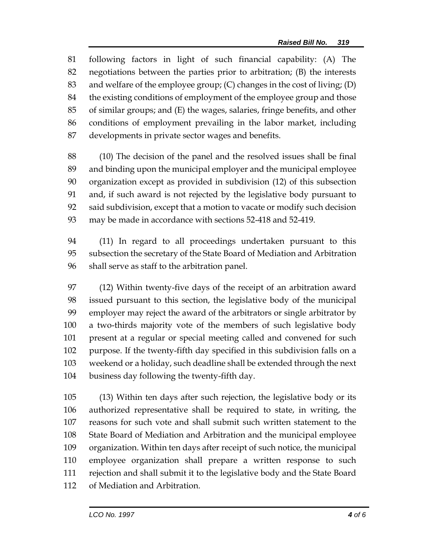following factors in light of such financial capability: (A) The negotiations between the parties prior to arbitration; (B) the interests and welfare of the employee group; (C) changes in the cost of living; (D) the existing conditions of employment of the employee group and those of similar groups; and (E) the wages, salaries, fringe benefits, and other conditions of employment prevailing in the labor market, including developments in private sector wages and benefits.

 (10) The decision of the panel and the resolved issues shall be final and binding upon the municipal employer and the municipal employee organization except as provided in subdivision (12) of this subsection and, if such award is not rejected by the legislative body pursuant to said subdivision, except that a motion to vacate or modify such decision may be made in accordance with sections 52-418 and 52-419.

 (11) In regard to all proceedings undertaken pursuant to this subsection the secretary of the State Board of Mediation and Arbitration shall serve as staff to the arbitration panel.

 (12) Within twenty-five days of the receipt of an arbitration award issued pursuant to this section, the legislative body of the municipal employer may reject the award of the arbitrators or single arbitrator by a two-thirds majority vote of the members of such legislative body present at a regular or special meeting called and convened for such purpose. If the twenty-fifth day specified in this subdivision falls on a weekend or a holiday, such deadline shall be extended through the next business day following the twenty-fifth day.

 (13) Within ten days after such rejection, the legislative body or its authorized representative shall be required to state, in writing, the reasons for such vote and shall submit such written statement to the State Board of Mediation and Arbitration and the municipal employee organization. Within ten days after receipt of such notice, the municipal employee organization shall prepare a written response to such rejection and shall submit it to the legislative body and the State Board of Mediation and Arbitration.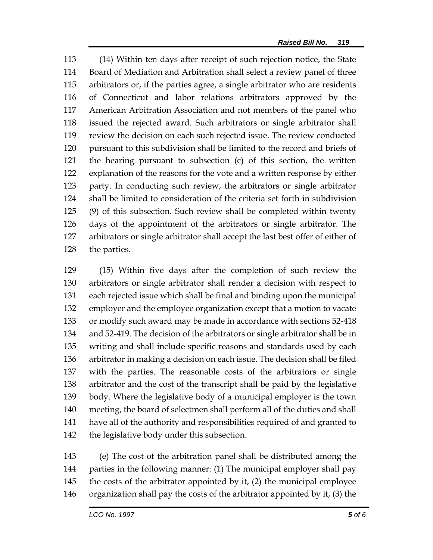(14) Within ten days after receipt of such rejection notice, the State Board of Mediation and Arbitration shall select a review panel of three arbitrators or, if the parties agree, a single arbitrator who are residents of Connecticut and labor relations arbitrators approved by the American Arbitration Association and not members of the panel who issued the rejected award. Such arbitrators or single arbitrator shall review the decision on each such rejected issue. The review conducted pursuant to this subdivision shall be limited to the record and briefs of the hearing pursuant to subsection (c) of this section, the written explanation of the reasons for the vote and a written response by either party. In conducting such review, the arbitrators or single arbitrator shall be limited to consideration of the criteria set forth in subdivision (9) of this subsection. Such review shall be completed within twenty days of the appointment of the arbitrators or single arbitrator. The arbitrators or single arbitrator shall accept the last best offer of either of the parties.

 (15) Within five days after the completion of such review the arbitrators or single arbitrator shall render a decision with respect to each rejected issue which shall be final and binding upon the municipal employer and the employee organization except that a motion to vacate or modify such award may be made in accordance with sections 52-418 and 52-419. The decision of the arbitrators or single arbitrator shall be in writing and shall include specific reasons and standards used by each arbitrator in making a decision on each issue. The decision shall be filed with the parties. The reasonable costs of the arbitrators or single arbitrator and the cost of the transcript shall be paid by the legislative body. Where the legislative body of a municipal employer is the town meeting, the board of selectmen shall perform all of the duties and shall have all of the authority and responsibilities required of and granted to the legislative body under this subsection.

 (e) The cost of the arbitration panel shall be distributed among the parties in the following manner: (1) The municipal employer shall pay the costs of the arbitrator appointed by it, (2) the municipal employee organization shall pay the costs of the arbitrator appointed by it, (3) the